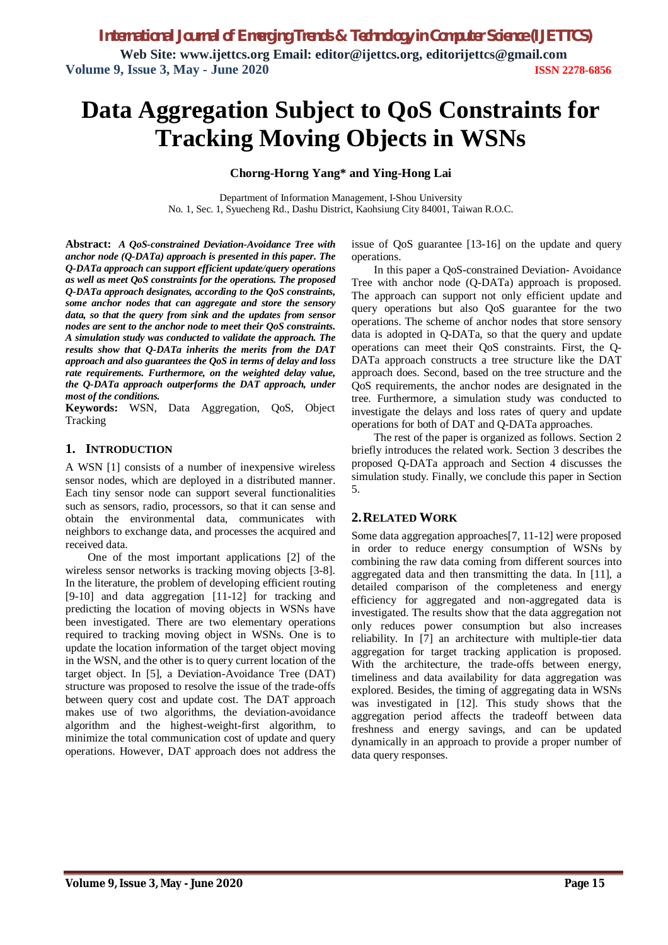*International Journal of Emerging Trends & Technology in Computer Science (IJETTCS)*

**Web Site: www.ijettcs.org Email: editor@ijettcs.org, [editorijettcs@gmail.com](mailto:editorijettcs@gmail.com)  Volume 9, Issue 3, May - June 2020 ISSN 2278-6856**

# **Data Aggregation Subject to QoS Constraints for Tracking Moving Objects in WSNs**

#### **Chorng-Horng Yang\* and Ying-Hong Lai**

Department of Information Management, I-Shou University No. 1, Sec. 1, Syuecheng Rd., Dashu District, Kaohsiung City 84001, Taiwan R.O.C.

**Abstract:** *A QoS-constrained Deviation-Avoidance Tree with anchor node (Q-DATa) approach is presented in this paper. The Q-DATa approach can support efficient update/query operations as well as meet QoS constraints for the operations. The proposed Q-DATa approach designates, according to the QoS constraints, some anchor nodes that can aggregate and store the sensory data, so that the query from sink and the updates from sensor nodes are sent to the anchor node to meet their QoS constraints. A simulation study was conducted to validate the approach. The results show that Q-DATa inherits the merits from the DAT approach and also guarantees the QoS in terms of delay and loss rate requirements. Furthermore, on the weighted delay value, the Q-DATa approach outperforms the DAT approach, under most of the conditions.*

**Keywords:** WSN, Data Aggregation, QoS, Object Tracking

## **1. INTRODUCTION**

A WSN [1] consists of a number of inexpensive wireless sensor nodes, which are deployed in a distributed manner. Each tiny sensor node can support several functionalities such as sensors, radio, processors, so that it can sense and obtain the environmental data, communicates with neighbors to exchange data, and processes the acquired and received data.

One of the most important applications [2] of the wireless sensor networks is tracking moving objects [3-8]. In the literature, the problem of developing efficient routing [9-10] and data aggregation [11-12] for tracking and predicting the location of moving objects in WSNs have been investigated. There are two elementary operations required to tracking moving object in WSNs. One is to update the location information of the target object moving in the WSN, and the other is to query current location of the target object. In [5], a Deviation-Avoidance Tree (DAT) structure was proposed to resolve the issue of the trade-offs between query cost and update cost. The DAT approach makes use of two algorithms, the deviation-avoidance algorithm and the highest-weight-first algorithm, to minimize the total communication cost of update and query operations. However, DAT approach does not address the issue of QoS guarantee [13-16] on the update and query operations.

In this paper a QoS-constrained Deviation- Avoidance Tree with anchor node (Q-DATa) approach is proposed. The approach can support not only efficient update and query operations but also QoS guarantee for the two operations. The scheme of anchor nodes that store sensory data is adopted in Q-DATa, so that the query and update operations can meet their QoS constraints. First, the Q-DATa approach constructs a tree structure like the DAT approach does. Second, based on the tree structure and the QoS requirements, the anchor nodes are designated in the tree. Furthermore, a simulation study was conducted to investigate the delays and loss rates of query and update operations for both of DAT and Q-DATa approaches.

The rest of the paper is organized as follows. Section 2 briefly introduces the related work. Section 3 describes the proposed Q-DATa approach and Section 4 discusses the simulation study. Finally, we conclude this paper in Section 5.

#### **2.RELATED WORK**

Some data aggregation approaches[7, 11-12] were proposed in order to reduce energy consumption of WSNs by combining the raw data coming from different sources into aggregated data and then transmitting the data. In [11], a detailed comparison of the completeness and energy efficiency for aggregated and non-aggregated data is investigated. The results show that the data aggregation not only reduces power consumption but also increases reliability. In [7] an architecture with multiple-tier data aggregation for target tracking application is proposed. With the architecture, the trade-offs between energy, timeliness and data availability for data aggregation was explored. Besides, the timing of aggregating data in WSNs was investigated in [12]. This study shows that the aggregation period affects the tradeoff between data freshness and energy savings, and can be updated dynamically in an approach to provide a proper number of data query responses.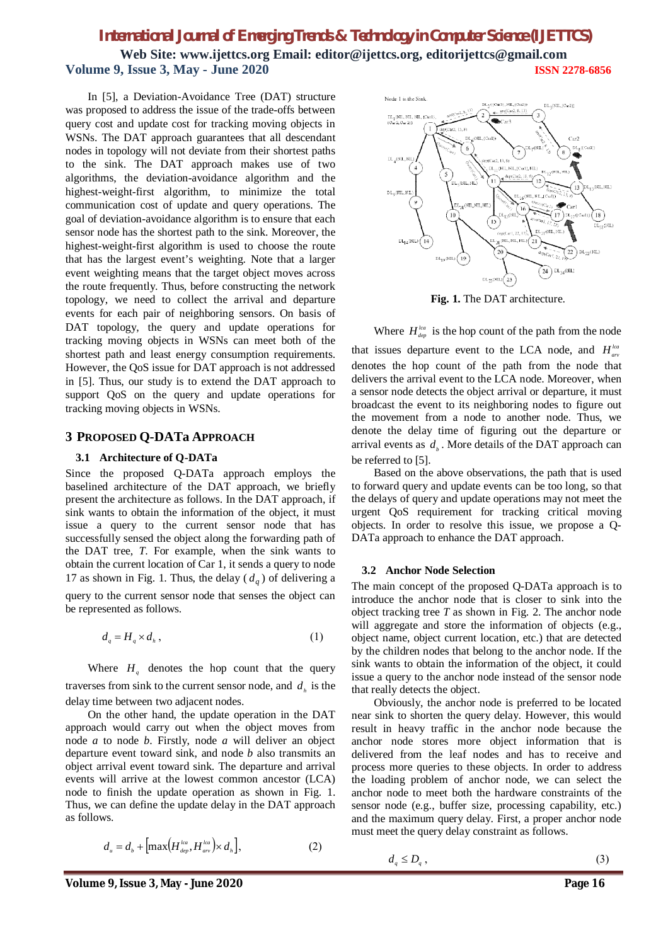# *International Journal of Emerging Trends & Technology in Computer Science (IJETTCS)*

**Web Site: www.ijettcs.org Email: editor@ijettcs.org, [editorijettcs@gmail.com](mailto:editorijettcs@gmail.com)  Volume 9, Issue 3, May - June 2020 ISSN 2278-6856**

In [5], a Deviation-Avoidance Tree (DAT) structure was proposed to address the issue of the trade-offs between query cost and update cost for tracking moving objects in WSNs. The DAT approach guarantees that all descendant nodes in topology will not deviate from their shortest paths to the sink. The DAT approach makes use of two algorithms, the deviation-avoidance algorithm and the highest-weight-first algorithm, to minimize the total communication cost of update and query operations. The goal of deviation-avoidance algorithm is to ensure that each sensor node has the shortest path to the sink. Moreover, the highest-weight-first algorithm is used to choose the route that has the largest event's weighting. Note that a larger event weighting means that the target object moves across the route frequently. Thus, before constructing the network topology, we need to collect the arrival and departure events for each pair of neighboring sensors. On basis of DAT topology, the query and update operations for tracking moving objects in WSNs can meet both of the shortest path and least energy consumption requirements. However, the QoS issue for DAT approach is not addressed in [5]. Thus, our study is to extend the DAT approach to support QoS on the query and update operations for tracking moving objects in WSNs.

## **3 PROPOSED Q-DATa APPROACH**

#### **3.1 Architecture of Q-DATa**

Since the proposed Q-DATa approach employs the baselined architecture of the DAT approach, we briefly present the architecture as follows. In the DAT approach, if sink wants to obtain the information of the object, it must issue a query to the current sensor node that has successfully sensed the object along the forwarding path of the DAT tree, *T*. For example, when the sink wants to obtain the current location of Car 1, it sends a query to node 17 as shown in Fig. 1. Thus, the delay  $(d_q)$  of delivering a query to the current sensor node that senses the object can be represented as follows.

$$
d_q = H_q \times d_h, \qquad (1)
$$

Where  $H_a$  denotes the hop count that the query traverses from sink to the current sensor node, and  $d<sub>h</sub>$  is the delay time between two adjacent nodes.

On the other hand, the update operation in the DAT approach would carry out when the object moves from node *a* to node *b*. Firstly, node *a* will deliver an object departure event toward sink, and node *b* also transmits an object arrival event toward sink. The departure and arrival events will arrive at the lowest common ancestor (LCA) node to finish the update operation as shown in Fig. 1. Thus, we can define the update delay in the DAT approach as follows.

$$
d_u = d_b + \left[ \max \left( H_{dep}^{lca}, H_{ar}^{lca} \right) \times d_h \right], \tag{2}
$$



**Fig. 1.** The DAT architecture.

Where  $H_{dep}^{lca}$  is the hop count of the path from the node

that issues departure event to the LCA node, and  $H_{\text{ave}}^{lca}$ denotes the hop count of the path from the node that delivers the arrival event to the LCA node. Moreover, when a sensor node detects the object arrival or departure, it must broadcast the event to its neighboring nodes to figure out the movement from a node to another node. Thus, we denote the delay time of figuring out the departure or arrival events as  $d_{i}$ . More details of the DAT approach can be referred to [5].

Based on the above observations, the path that is used to forward query and update events can be too long, so that the delays of query and update operations may not meet the urgent QoS requirement for tracking critical moving objects. In order to resolve this issue, we propose a Q-DATa approach to enhance the DAT approach.

#### **3.2 Anchor Node Selection**

The main concept of the proposed Q-DATa approach is to introduce the anchor node that is closer to sink into the object tracking tree *T* as shown in Fig. 2. The anchor node will aggregate and store the information of objects (e.g., object name, object current location, etc.) that are detected by the children nodes that belong to the anchor node. If the sink wants to obtain the information of the object, it could issue a query to the anchor node instead of the sensor node that really detects the object.

Obviously, the anchor node is preferred to be located near sink to shorten the query delay. However, this would result in heavy traffic in the anchor node because the anchor node stores more object information that is delivered from the leaf nodes and has to receive and process more queries to these objects. In order to address the loading problem of anchor node, we can select the anchor node to meet both the hardware constraints of the sensor node (e.g., buffer size, processing capability, etc.) and the maximum query delay. First, a proper anchor node must meet the query delay constraint as follows.

| $d_q \leq D_q$ , | (3) |
|------------------|-----|
|                  |     |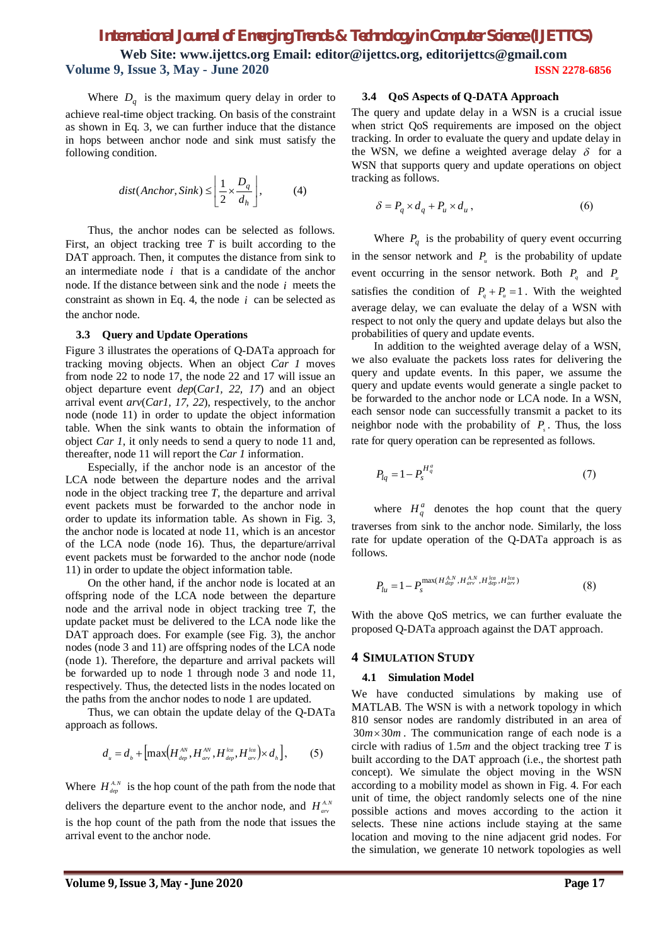# *International Journal of Emerging Trends & Technology in Computer Science (IJETTCS)* **Web Site: www.ijettcs.org Email: editor@ijettcs.org, [editorijettcs@gmail.com](mailto:editorijettcs@gmail.com)  Volume 9, Issue 3, May - June 2020 ISSN 2278-6856**

Where  $D_q$  is the maximum query delay in order to achieve real-time object tracking. On basis of the constraint as shown in Eq. 3, we can further induce that the distance in hops between anchor node and sink must satisfy the following condition.

$$
dist(Anchor, Sink) \le \left\lfloor \frac{1}{2} \times \frac{D_q}{d_h} \right\rfloor, \tag{4}
$$

Thus, the anchor nodes can be selected as follows. First, an object tracking tree *T* is built according to the DAT approach. Then, it computes the distance from sink to an intermediate node *i* that is a candidate of the anchor node. If the distance between sink and the node *i* meets the constraint as shown in Eq. 4, the node  $i$  can be selected as the anchor node.

#### **3.3 Query and Update Operations**

Figure 3 illustrates the operations of Q-DATa approach for tracking moving objects. When an object *Car 1* moves from node 22 to node 17, the node 22 and 17 will issue an object departure event *dep*(*Car1, 22, 17*) and an object arrival event *arv*(*Car1, 17, 22*), respectively, to the anchor node (node 11) in order to update the object information table. When the sink wants to obtain the information of object *Car 1*, it only needs to send a query to node 11 and, thereafter, node 11 will report the *Car 1* information.

Especially, if the anchor node is an ancestor of the LCA node between the departure nodes and the arrival node in the object tracking tree *T*, the departure and arrival event packets must be forwarded to the anchor node in order to update its information table. As shown in Fig. 3, the anchor node is located at node 11, which is an ancestor of the LCA node (node 16). Thus, the departure/arrival event packets must be forwarded to the anchor node (node 11) in order to update the object information table.

On the other hand, if the anchor node is located at an offspring node of the LCA node between the departure node and the arrival node in object tracking tree *T*, the update packet must be delivered to the LCA node like the DAT approach does. For example (see Fig. 3), the anchor nodes (node 3 and 11) are offspring nodes of the LCA node (node 1). Therefore, the departure and arrival packets will be forwarded up to node 1 through node 3 and node 11, respectively. Thus, the detected lists in the nodes located on the paths from the anchor nodes to node 1 are updated.

Thus, we can obtain the update delay of the Q-DATa approach as follows.

$$
d_{u} = d_{b} + \left[ \max\left(H_{_{dep}}^{^{AN}}, H_{_{ar}}^{^{AN}}, H_{_{dep}}^{_{lea}}, H_{_{ar}}^{^{lca}}\right) \times d_{_{h}} \right],
$$
 (5)

Where  $H_{\text{dep}}^{A,N}$  is the hop count of the path from the node that delivers the departure event to the anchor node, and  $H_{av}^{A,N}$ is the hop count of the path from the node that issues the arrival event to the anchor node.

#### **3.4 QoS Aspects of Q-DATA Approach**

The query and update delay in a WSN is a crucial issue when strict QoS requirements are imposed on the object tracking. In order to evaluate the query and update delay in the WSN, we define a weighted average delay  $\delta$  for a WSN that supports query and update operations on object tracking as follows.

$$
\delta = P_q \times d_q + P_u \times d_u, \qquad (6)
$$

Where  $P_q$  is the probability of query event occurring in the sensor network and  $P_{u}$  is the probability of update event occurring in the sensor network. Both  $P_q$  and  $P_u$ satisfies the condition of  $P_q + P_u = 1$ . With the weighted average delay, we can evaluate the delay of a WSN with respect to not only the query and update delays but also the probabilities of query and update events.

In addition to the weighted average delay of a WSN, we also evaluate the packets loss rates for delivering the query and update events. In this paper, we assume the query and update events would generate a single packet to be forwarded to the anchor node or LCA node. In a WSN, each sensor node can successfully transmit a packet to its neighbor node with the probability of *P<sup>s</sup>* . Thus, the loss rate for query operation can be represented as follows.

$$
P_{lq} = 1 - P_s^{H_q^a} \tag{7}
$$

where  $H_q^a$  denotes the hop count that the query traverses from sink to the anchor node. Similarly, the loss rate for update operation of the Q-DATa approach is as follows.

$$
P_{lu} = 1 - P_s^{\max(H_{dep}^{A,N}, H_{ar}^{A,N}, H_{dep}^{lca}, H_{ar}^{lca})}
$$
(8)

With the above QoS metrics, we can further evaluate the proposed Q-DATa approach against the DAT approach.

#### **4 SIMULATION STUDY**

#### **4.1 Simulation Model**

We have conducted simulations by making use of MATLAB. The WSN is with a network topology in which 810 sensor nodes are randomly distributed in an area of  $30m \times 30m$ . The communication range of each node is a circle with radius of 1.5*m* and the object tracking tree *T* is built according to the DAT approach (i.e., the shortest path concept). We simulate the object moving in the WSN according to a mobility model as shown in Fig. 4. For each unit of time, the object randomly selects one of the nine possible actions and moves according to the action it selects. These nine actions include staying at the same location and moving to the nine adjacent grid nodes. For the simulation, we generate 10 network topologies as well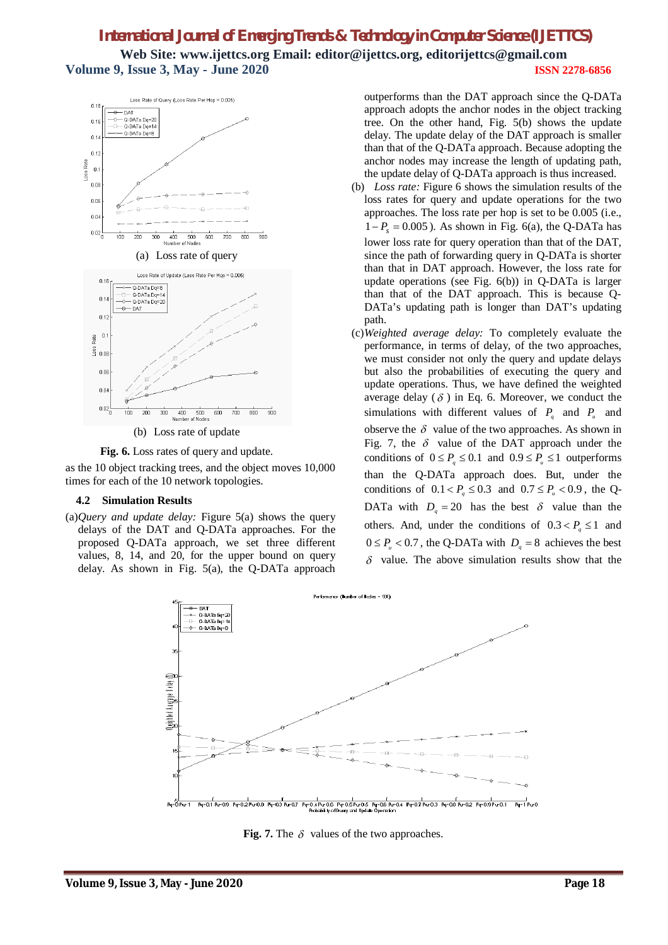# *International Journal of Emerging Trends & Technology in Computer Science (IJETTCS)* **Web Site: www.ijettcs.org Email: editor@ijettcs.org, [editorijettcs@gmail.com](mailto:editorijettcs@gmail.com)  Volume 9, Issue 3, May - June 2020 ISSN 2278-6856**



(b) Loss rate of update

**Fig. 6.** Loss rates of query and update.

as the 10 object tracking trees, and the object moves 10,000 times for each of the 10 network topologies.

#### **4.2 Simulation Results**

(a)*Query and update delay:* Figure 5(a) shows the query delays of the DAT and Q-DATa approaches. For the proposed Q-DATa approach, we set three different values, 8, 14, and 20, for the upper bound on query delay. As shown in Fig. 5(a), the Q-DATa approach outperforms than the DAT approach since the Q-DATa approach adopts the anchor nodes in the object tracking tree. On the other hand, Fig. 5(b) shows the update delay. The update delay of the DAT approach is smaller than that of the Q-DATa approach. Because adopting the anchor nodes may increase the length of updating path, the update delay of Q-DATa approach is thus increased.

- (b) *Loss rate:* Figure 6 shows the simulation results of the loss rates for query and update operations for the two approaches. The loss rate per hop is set to be 0.005 (i.e.,  $1 - P_s = 0.005$ ). As shown in Fig. 6(a), the Q-DATa has lower loss rate for query operation than that of the DAT, since the path of forwarding query in Q-DATa is shorter than that in DAT approach. However, the loss rate for update operations (see Fig. 6(b)) in Q-DATa is larger than that of the DAT approach. This is because Q-DATa's updating path is longer than DAT's updating path.
- (c)*Weighted average delay:* To completely evaluate the performance, in terms of delay, of the two approaches, we must consider not only the query and update delays but also the probabilities of executing the query and update operations. Thus, we have defined the weighted average delay ( $\delta$ ) in Eq. 6. Moreover, we conduct the simulations with different values of  $P_q$  and  $P_u$  and observe the  $\delta$  value of the two approaches. As shown in Fig. 7, the  $\delta$  value of the DAT approach under the conditions of  $0 \le P_q \le 0.1$  and  $0.9 \le P_u \le 1$  outperforms than the Q-DATa approach does. But, under the conditions of  $0.1 < P_q \le 0.3$  and  $0.7 \le P_u < 0.9$ , the Q-DATa with  $D_q = 20$  has the best  $\delta$  value than the others. And, under the conditions of  $0.3 < P_a \le 1$  and  $0 \le P_u < 0.7$ , the Q-DATa with  $D_q = 8$  achieves the best  $\delta$  value. The above simulation results show that the



**Fig. 7.** The  $\delta$  values of the two approaches.